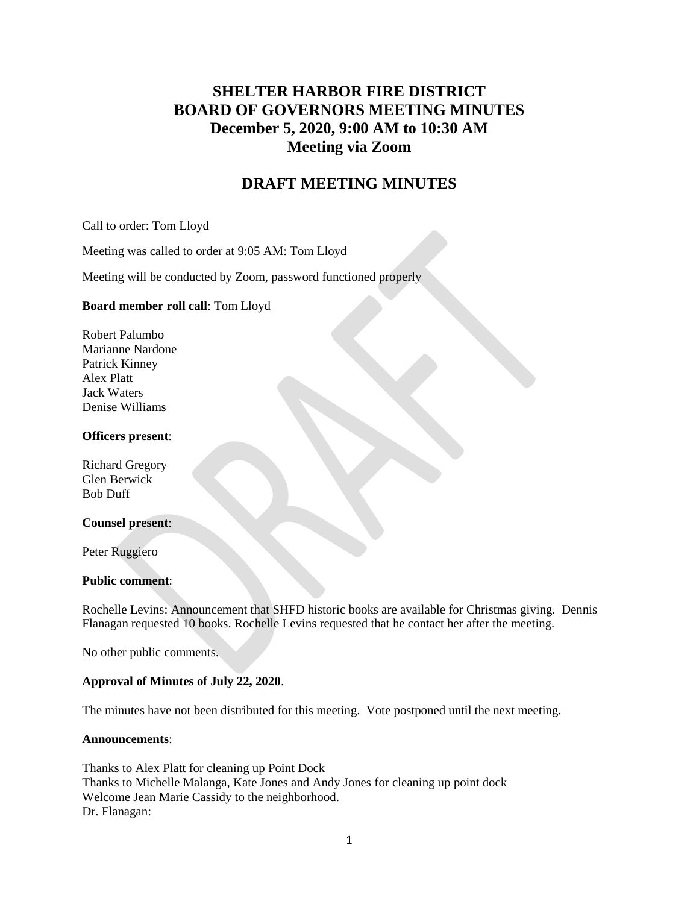# **SHELTER HARBOR FIRE DISTRICT BOARD OF GOVERNORS MEETING MINUTES December 5, 2020, 9:00 AM to 10:30 AM Meeting via Zoom**

# **DRAFT MEETING MINUTES**

Call to order: Tom Lloyd

Meeting was called to order at 9:05 AM: Tom Lloyd

Meeting will be conducted by Zoom, password functioned properly

#### **Board member roll call**: Tom Lloyd

Robert Palumbo Marianne Nardone Patrick Kinney Alex Platt Jack Waters Denise Williams

#### **Officers present**:

Richard Gregory Glen Berwick Bob Duff

#### **Counsel present**:

Peter Ruggiero

#### **Public comment**:

Rochelle Levins: Announcement that SHFD historic books are available for Christmas giving. Dennis Flanagan requested 10 books. Rochelle Levins requested that he contact her after the meeting.

No other public comments.

## **Approval of Minutes of July 22, 2020**.

The minutes have not been distributed for this meeting. Vote postponed until the next meeting.

#### **Announcements**:

Thanks to Alex Platt for cleaning up Point Dock Thanks to Michelle Malanga, Kate Jones and Andy Jones for cleaning up point dock Welcome Jean Marie Cassidy to the neighborhood. Dr. Flanagan: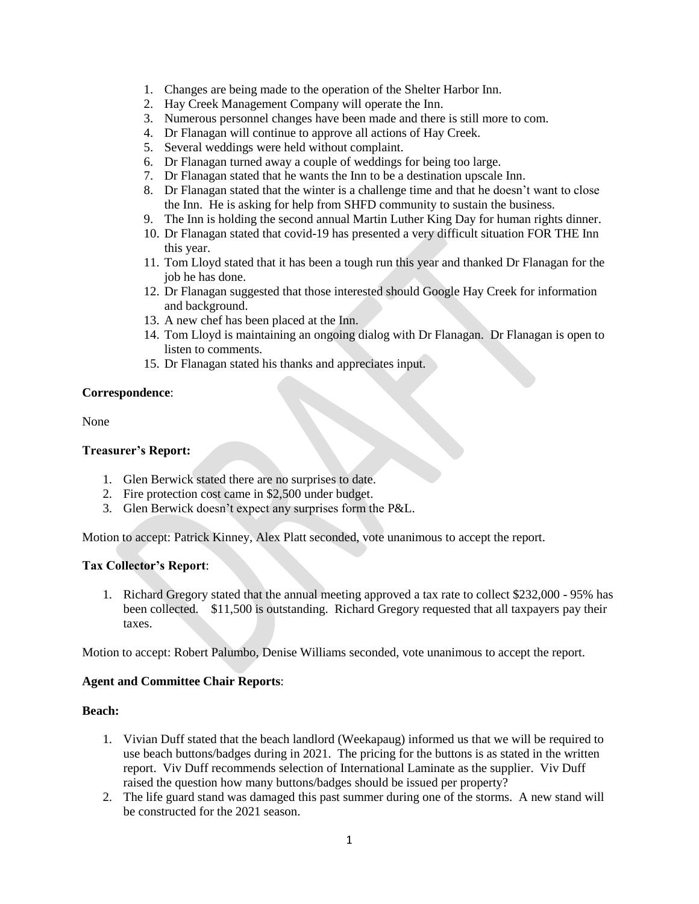- 1. Changes are being made to the operation of the Shelter Harbor Inn.
- 2. Hay Creek Management Company will operate the Inn.
- 3. Numerous personnel changes have been made and there is still more to com.
- 4. Dr Flanagan will continue to approve all actions of Hay Creek.
- 5. Several weddings were held without complaint.
- 6. Dr Flanagan turned away a couple of weddings for being too large.
- 7. Dr Flanagan stated that he wants the Inn to be a destination upscale Inn.
- 8. Dr Flanagan stated that the winter is a challenge time and that he doesn't want to close the Inn. He is asking for help from SHFD community to sustain the business.
- 9. The Inn is holding the second annual Martin Luther King Day for human rights dinner.
- 10. Dr Flanagan stated that covid-19 has presented a very difficult situation FOR THE Inn this year.
- 11. Tom Lloyd stated that it has been a tough run this year and thanked Dr Flanagan for the job he has done.
- 12. Dr Flanagan suggested that those interested should Google Hay Creek for information and background.
- 13. A new chef has been placed at the Inn.
- 14. Tom Lloyd is maintaining an ongoing dialog with Dr Flanagan. Dr Flanagan is open to listen to comments.
- 15. Dr Flanagan stated his thanks and appreciates input.

#### **Correspondence**:

None

#### **Treasurer's Report:**

- 1. Glen Berwick stated there are no surprises to date.
- 2. Fire protection cost came in \$2,500 under budget.
- 3. Glen Berwick doesn't expect any surprises form the P&L.

Motion to accept: Patrick Kinney, Alex Platt seconded, vote unanimous to accept the report.

## **Tax Collector's Report**:

1. Richard Gregory stated that the annual meeting approved a tax rate to collect \$232,000 - 95% has been collected. \$11,500 is outstanding. Richard Gregory requested that all taxpayers pay their taxes.

Motion to accept: Robert Palumbo, Denise Williams seconded, vote unanimous to accept the report.

#### **Agent and Committee Chair Reports**:

#### **Beach:**

- 1. Vivian Duff stated that the beach landlord (Weekapaug) informed us that we will be required to use beach buttons/badges during in 2021. The pricing for the buttons is as stated in the written report. Viv Duff recommends selection of International Laminate as the supplier. Viv Duff raised the question how many buttons/badges should be issued per property?
- 2. The life guard stand was damaged this past summer during one of the storms. A new stand will be constructed for the 2021 season.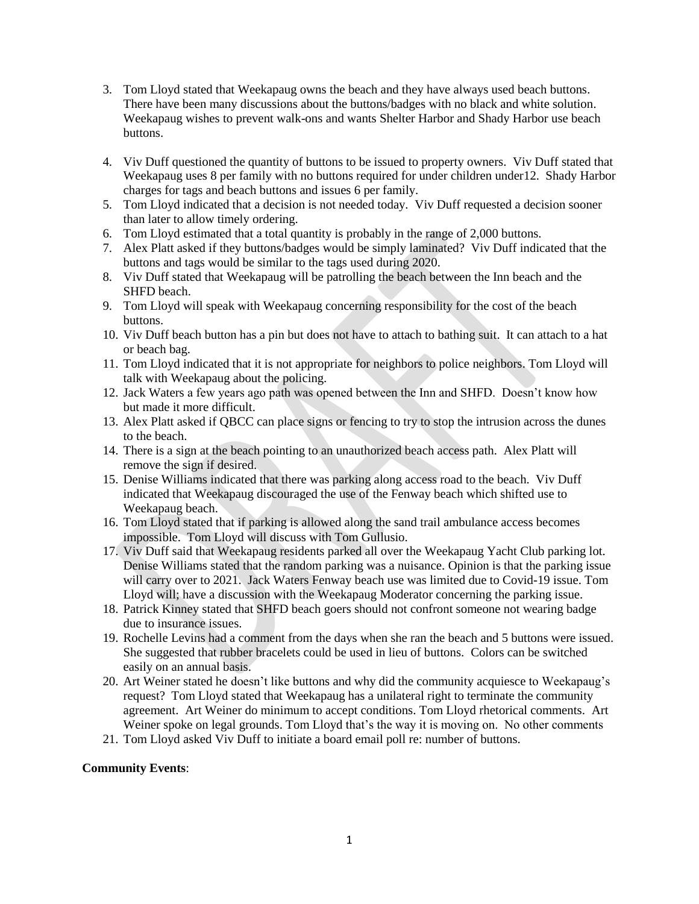- 3. Tom Lloyd stated that Weekapaug owns the beach and they have always used beach buttons. There have been many discussions about the buttons/badges with no black and white solution. Weekapaug wishes to prevent walk-ons and wants Shelter Harbor and Shady Harbor use beach buttons.
- 4. Viv Duff questioned the quantity of buttons to be issued to property owners. Viv Duff stated that Weekapaug uses 8 per family with no buttons required for under children under12. Shady Harbor charges for tags and beach buttons and issues 6 per family.
- 5. Tom Lloyd indicated that a decision is not needed today. Viv Duff requested a decision sooner than later to allow timely ordering.
- 6. Tom Lloyd estimated that a total quantity is probably in the range of 2,000 buttons.
- 7. Alex Platt asked if they buttons/badges would be simply laminated? Viv Duff indicated that the buttons and tags would be similar to the tags used during 2020.
- 8. Viv Duff stated that Weekapaug will be patrolling the beach between the Inn beach and the SHFD beach.
- 9. Tom Lloyd will speak with Weekapaug concerning responsibility for the cost of the beach buttons.
- 10. Viv Duff beach button has a pin but does not have to attach to bathing suit. It can attach to a hat or beach bag.
- 11. Tom Lloyd indicated that it is not appropriate for neighbors to police neighbors. Tom Lloyd will talk with Weekapaug about the policing.
- 12. Jack Waters a few years ago path was opened between the Inn and SHFD. Doesn't know how but made it more difficult.
- 13. Alex Platt asked if QBCC can place signs or fencing to try to stop the intrusion across the dunes to the beach.
- 14. There is a sign at the beach pointing to an unauthorized beach access path. Alex Platt will remove the sign if desired.
- 15. Denise Williams indicated that there was parking along access road to the beach. Viv Duff indicated that Weekapaug discouraged the use of the Fenway beach which shifted use to Weekapaug beach.
- 16. Tom Lloyd stated that if parking is allowed along the sand trail ambulance access becomes impossible. Tom Lloyd will discuss with Tom Gullusio.
- 17. Viv Duff said that Weekapaug residents parked all over the Weekapaug Yacht Club parking lot. Denise Williams stated that the random parking was a nuisance. Opinion is that the parking issue will carry over to 2021. Jack Waters Fenway beach use was limited due to Covid-19 issue. Tom Lloyd will; have a discussion with the Weekapaug Moderator concerning the parking issue.
- 18. Patrick Kinney stated that SHFD beach goers should not confront someone not wearing badge due to insurance issues.
- 19. Rochelle Levins had a comment from the days when she ran the beach and 5 buttons were issued. She suggested that rubber bracelets could be used in lieu of buttons. Colors can be switched easily on an annual basis.
- 20. Art Weiner stated he doesn't like buttons and why did the community acquiesce to Weekapaug's request? Tom Lloyd stated that Weekapaug has a unilateral right to terminate the community agreement. Art Weiner do minimum to accept conditions. Tom Lloyd rhetorical comments. Art Weiner spoke on legal grounds. Tom Lloyd that's the way it is moving on. No other comments
- 21. Tom Lloyd asked Viv Duff to initiate a board email poll re: number of buttons.

## **Community Events**: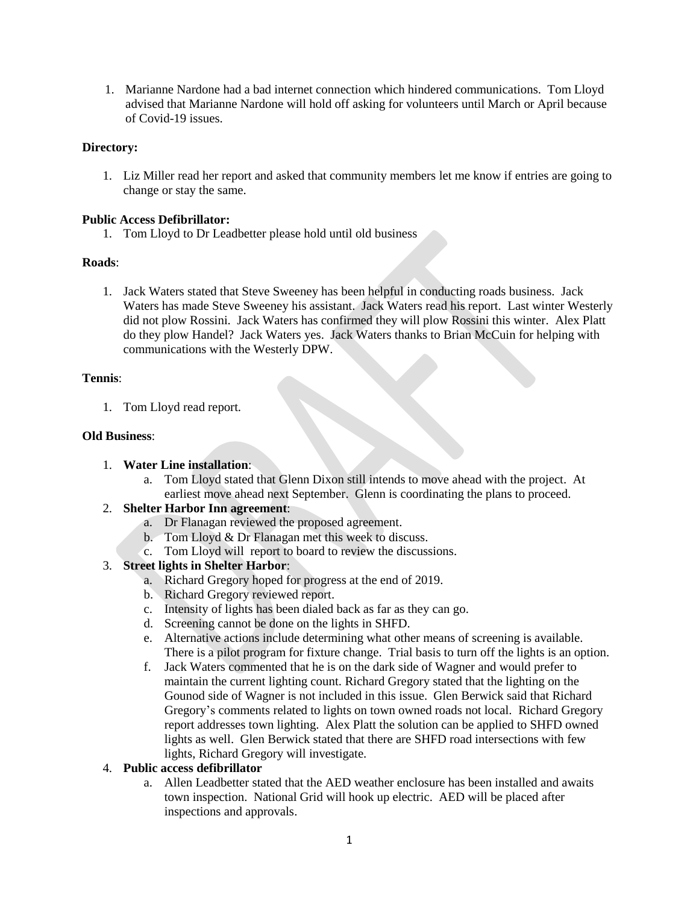1. Marianne Nardone had a bad internet connection which hindered communications. Tom Lloyd advised that Marianne Nardone will hold off asking for volunteers until March or April because of Covid-19 issues.

## **Directory:**

1. Liz Miller read her report and asked that community members let me know if entries are going to change or stay the same.

## **Public Access Defibrillator:**

1. Tom Lloyd to Dr Leadbetter please hold until old business

# **Roads**:

1. Jack Waters stated that Steve Sweeney has been helpful in conducting roads business. Jack Waters has made Steve Sweeney his assistant. Jack Waters read his report. Last winter Westerly did not plow Rossini. Jack Waters has confirmed they will plow Rossini this winter. Alex Platt do they plow Handel? Jack Waters yes. Jack Waters thanks to Brian McCuin for helping with communications with the Westerly DPW.

# **Tennis**:

1. Tom Lloyd read report.

# **Old Business**:

## 1. **Water Line installation**:

a. Tom Lloyd stated that Glenn Dixon still intends to move ahead with the project. At earliest move ahead next September. Glenn is coordinating the plans to proceed.

# 2. **Shelter Harbor Inn agreement**:

- a. Dr Flanagan reviewed the proposed agreement.
- b. Tom Lloyd & Dr Flanagan met this week to discuss.
- c. Tom Lloyd will report to board to review the discussions.

# 3. **Street lights in Shelter Harbor**:

- a. Richard Gregory hoped for progress at the end of 2019.
- b. Richard Gregory reviewed report.
- c. Intensity of lights has been dialed back as far as they can go.
- d. Screening cannot be done on the lights in SHFD.
- e. Alternative actions include determining what other means of screening is available. There is a pilot program for fixture change. Trial basis to turn off the lights is an option.
- f. Jack Waters commented that he is on the dark side of Wagner and would prefer to maintain the current lighting count. Richard Gregory stated that the lighting on the Gounod side of Wagner is not included in this issue. Glen Berwick said that Richard Gregory's comments related to lights on town owned roads not local. Richard Gregory report addresses town lighting. Alex Platt the solution can be applied to SHFD owned lights as well. Glen Berwick stated that there are SHFD road intersections with few lights, Richard Gregory will investigate.

# 4. **Public access defibrillator**

a. Allen Leadbetter stated that the AED weather enclosure has been installed and awaits town inspection. National Grid will hook up electric. AED will be placed after inspections and approvals.